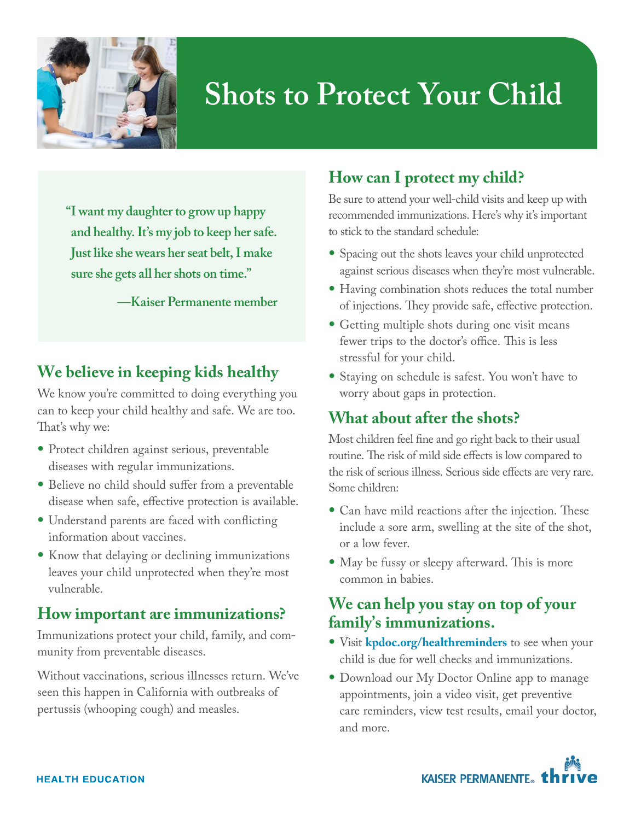

# **Shots to Protect Your Child**

**" I want my daughter to grow up happy and healthy. It's my job to keep her safe. Just like she wears her seat belt, I make sure she gets all her shots on time."**

**—Kaiser Permanente member**

## **We believe in keeping kids healthy**

We know you're committed to doing everything you can to keep your child healthy and safe. We are too. That's why we:

- Protect children against serious, preventable diseases with regular immunizations.
- Believe no child should suffer from a preventable disease when safe, effective protection is available.
- Understand parents are faced with conflicting information about vaccines.
- Know that delaying or declining immunizations leaves your child unprotected when they're most vulnerable.

#### **How important are immunizations?**

Immunizations protect your child, family, and community from preventable diseases.

Without vaccinations, serious illnesses return. We've seen this happen in California with outbreaks of pertussis (whooping cough) and measles.

# **How can I protect my child?**

Be sure to attend your well-child visits and keep up with recommended immunizations. Here's why it's important to stick to the standard schedule:

- Spacing out the shots leaves your child unprotected against serious diseases when they're most vulnerable.
- Having combination shots reduces the total number of injections. They provide safe, effective protection.
- Getting multiple shots during one visit means fewer trips to the doctor's office. This is less stressful for your child.
- Staying on schedule is safest. You won't have to worry about gaps in protection.

# **What about after the shots?**

Most children feel fine and go right back to their usual routine. The risk of mild side effects is low compared to the risk of serious illness. Serious side effects are very rare. Some children:

- Can have mild reactions after the injection. These include a sore arm, swelling at the site of the shot, or a low fever.
- May be fussy or sleepy afterward. This is more common in babies.

#### **We can help you stay on top of your family's immunizations.**

- Visit **[kpdoc.org/healthreminders](http://kpdoc.org/healthminders)** to see when your child is due for well checks and immunizations.
- Download our My Doctor Online app to manage appointments, join a video visit, get preventive care reminders, view test results, email your doctor, and more.